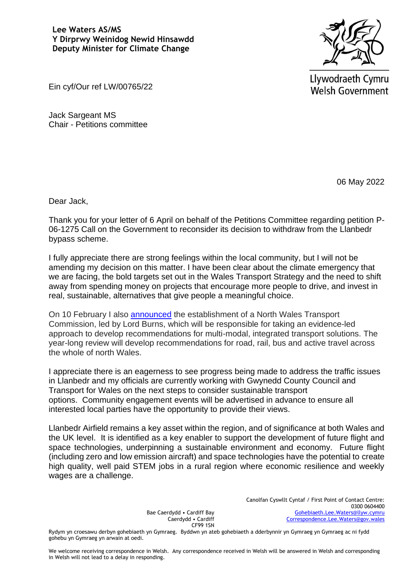## **Lee Waters AS/MS Y Dirprwy Weinidog Newid Hinsawdd Deputy Minister for Climate Change**



Llywodraeth Cymru **Welsh Government** 

Ein cyf/Our ref LW/00765/22

Jack Sargeant MS Chair - Petitions committee

06 May 2022

Dear Jack,

Thank you for your letter of 6 April on behalf of the Petitions Committee regarding petition P-06-1275 Call on the Government to reconsider its decision to withdraw from the Llanbedr bypass scheme.

I fully appreciate there are strong feelings within the local community, but I will not be amending my decision on this matter. I have been clear about the climate emergency that we are facing, the bold targets set out in the Wales Transport Strategy and the need to shift away from spending money on projects that encourage more people to drive, and invest in real, sustainable, alternatives that give people a meaningful choice.

On 10 February I also [announced](https://gov.wales/written-statement-roads-review-initial-report-and-north-wales-transport-commission-a55-j14-16) the establishment of a North Wales Transport Commission, led by Lord Burns, which will be responsible for taking an evidence-led approach to develop recommendations for multi-modal, integrated transport solutions. The year-long review will develop recommendations for road, rail, bus and active travel across the whole of north Wales.

I appreciate there is an eagerness to see progress being made to address the traffic issues in Llanbedr and my officials are currently working with Gwynedd County Council and Transport for Wales on the next steps to consider sustainable transport options. Community engagement events will be advertised in advance to ensure all interested local parties have the opportunity to provide their views.

Llanbedr Airfield remains a key asset within the region, and of significance at both Wales and the UK level. It is identified as a key enabler to support the development of future flight and space technologies, underpinning a sustainable environment and economy. Future flight (including zero and low emission aircraft) and space technologies have the potential to create high quality, well paid STEM jobs in a rural region where economic resilience and weekly wages are a challenge.

> Bae Caerdydd • Cardiff Bay Caerdydd • Cardiff CF99 1SN

Canolfan Cyswllt Cyntaf / First Point of Contact Centre: 0300 0604400 [Gohebiaeth.Lee.Waters@llyw.cymru](mailto:Gohebiaeth.Lee.Waters@llyw.cymru) [Correspondence.Lee.Waters@gov.wales](mailto:Correspondence.Lee.Waters@gov.wales)

Rydym yn croesawu derbyn gohebiaeth yn Gymraeg. Byddwn yn ateb gohebiaeth a dderbynnir yn Gymraeg yn Gymraeg ac ni fydd gohebu yn Gymraeg yn arwain at oedi.

We welcome receiving correspondence in Welsh. Any correspondence received in Welsh will be answered in Welsh and corresponding in Welsh will not lead to a delay in responding.